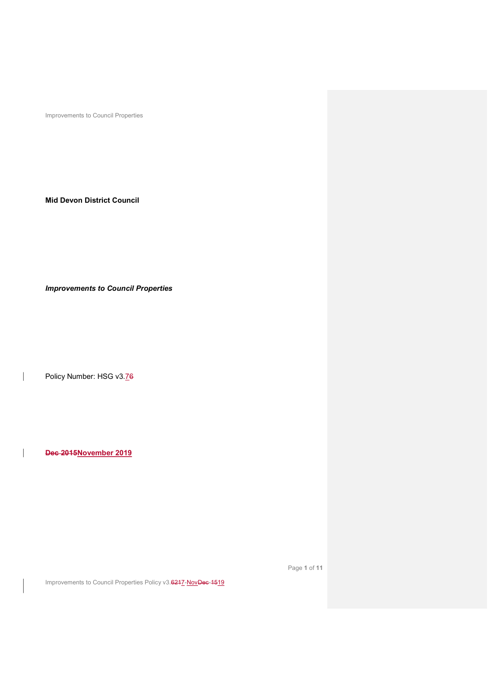Mid Devon District Council

Improvements to Council Properties

Policy Number: HSG v3.76

 $\overline{\phantom{a}}$ 

 $\overline{\phantom{a}}$ 

Dec 2015November 2019

Page 1 of 11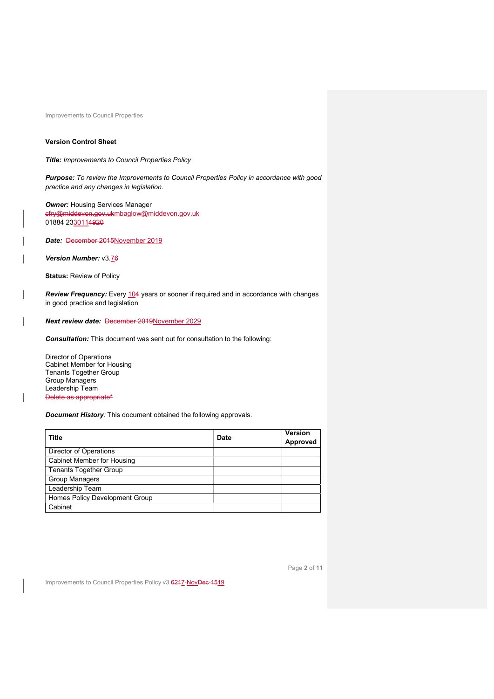# Version Control Sheet

Title: Improvements to Council Properties Policy

Purpose: To review the Improvements to Council Properties Policy in accordance with good practice and any changes in legislation.

**Owner: Housing Services Manager** cfry@middevon.gov.ukmbaglow@middevon.gov.uk 01884 2330114920

Date: December 2015November 2019

Version Number: v3.76

Status: Review of Policy

Review Frequency: Every 104 years or sooner if required and in accordance with changes in good practice and legislation

Next review date: December 2019November 2029

Consultation: This document was sent out for consultation to the following:

Director of Operations Cabinet Member for Housing Tenants Together Group Group Managers Leadership Team Delete as appropriate\*

**Document History:** This document obtained the following approvals.

| <b>Title</b>                      | <b>Date</b> | <b>Version</b><br>Approved |
|-----------------------------------|-------------|----------------------------|
| Director of Operations            |             |                            |
| <b>Cabinet Member for Housing</b> |             |                            |
| <b>Tenants Together Group</b>     |             |                            |
| <b>Group Managers</b>             |             |                            |
| Leadership Team                   |             |                            |
| Homes Policy Development Group    |             |                            |
| Cabinet                           |             |                            |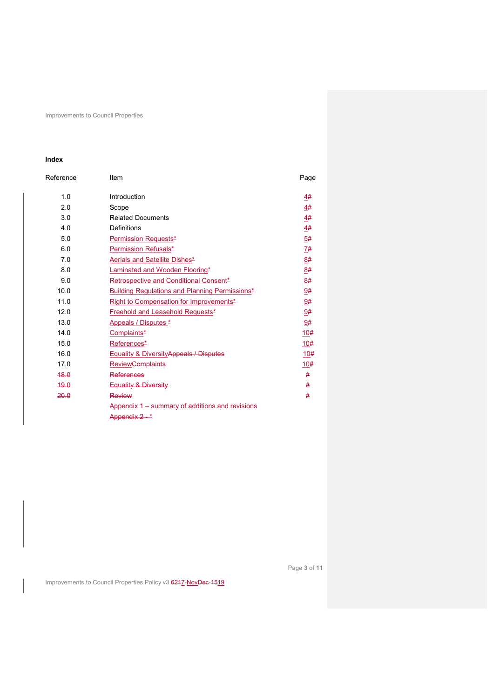# Index

| Reference | Item                                            | Page |
|-----------|-------------------------------------------------|------|
| 1.0       | Introduction                                    | 4#   |
| 2.0       | Scope                                           | 4#   |
| 3.0       | <b>Related Documents</b>                        | 4#   |
| 4.0       | Definitions                                     | 4#   |
| 5.0       | Permission Requests*                            | 5#   |
| 6.0       | Permission Refusals*                            | 7#   |
| 7.0       | Aerials and Satellite Dishes*                   | 8#   |
| 8.0       | Laminated and Wooden Flooring*                  | 8#   |
| 9.0       | Retrospective and Conditional Consent*          | 8#   |
| 10.0      | Building Regulations and Planning Permissions*  | 9#   |
| 11.0      | Right to Compensation for Improvements*         | 9#   |
| 12.0      | Freehold and Leasehold Requests*                | 9#   |
| 13.0      | Appeals / Disputes *                            | 9#   |
| 14.0      | Complaints*                                     | 10#  |
| 15.0      | References*                                     | 10#  |
| 16.0      | Equality & Diversity Appeals / Disputes         | 10#  |
| 17.0      | <b>Review<del>Complaints</del></b>              | 10#  |
| 48.0      | References                                      | #    |
| 49.0      | Equality & Diversity                            | #    |
| 20.0      | Review                                          | #    |
|           | Appendix 1 - summary of additions and revisions |      |
|           | Annendix 2 - *                                  |      |

Page 3 of 11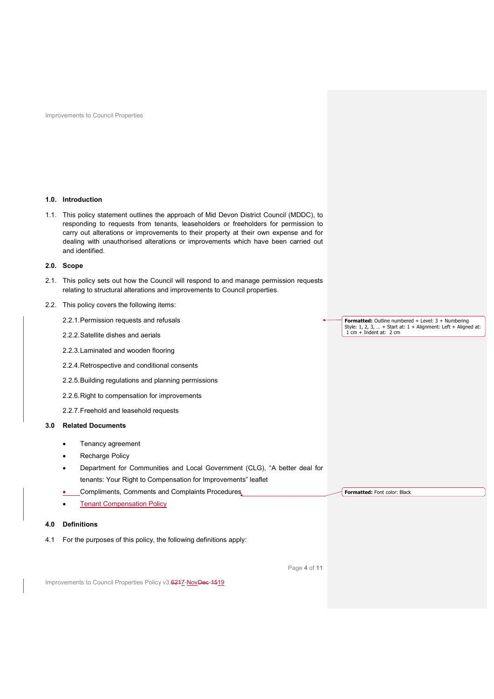### 1.0. Introduction

1.1. This policy statement outlines the approach of Mid Devon District Council (MDDC), to responding to requests from tenants, leaseholders or freeholders for permission to carry out alterations or improvements to their property at their own expense and for dealing with unauthorised alterations or improvements which have been carried out and identified.

## 2.0. Scope

2.1. This policy sets out how the Council will respond to and manage permission requests relating to structural alterations and improvements to Council properties.

### 2.2. This policy covers the following items:

- 2.2.1. Permission requests and refusals
- 2.2.2. Satellite dishes and aerials
- 2.2.3. Laminated and wooden flooring
- 2.2.4. Retrospective and conditional consents
- 2.2.5. Building regulations and planning permissions
- 2.2.6. Right to compensation for improvements
- 2.2.7. Freehold and leasehold requests

# 3.0 Related Documents

- Tenancy agreement
- Recharge Policy
- Department for Communities and Local Government (CLG), "A better deal for tenants: Your Right to Compensation for Improvements" leaflet
- Compliments, Comments and Complaints Procedures,
- Tenant Compensation Policy

# 4.0 Definitions

4.1 For the purposes of this policy, the following definitions apply:

Formatted: Outline numbered + Level: 3 + Numbering Style: 1, 2, 3, … + Start at: 1 + Alignment: Left + Aligned at: 1 cm + Indent at: 2 cm

Formatted: Font color: Black

Page 4 of 11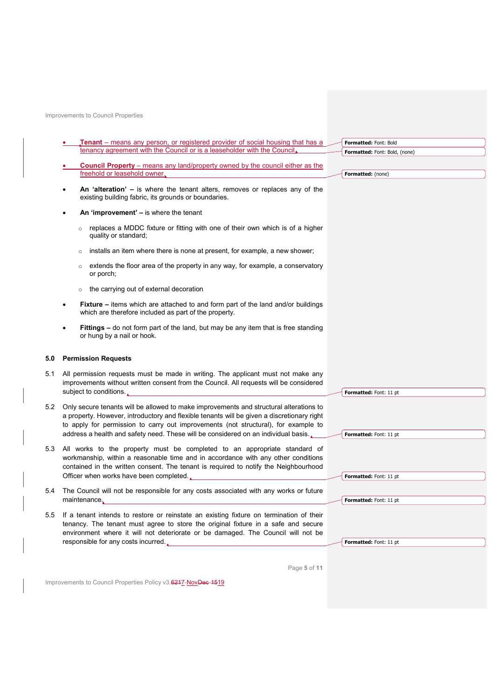| <b>Tenant</b> – means any person, or registered provider of social housing that has a                                                                                                                                                                                                                   | Formatted: Font: Bold         |
|---------------------------------------------------------------------------------------------------------------------------------------------------------------------------------------------------------------------------------------------------------------------------------------------------------|-------------------------------|
| tenancy agreement with the Council or is a leaseholder with the Council,                                                                                                                                                                                                                                | Formatted: Font: Bold, (none) |
| <b>Council Property</b> – means any land/property owned by the council either as the                                                                                                                                                                                                                    |                               |
| freehold or leasehold owner.                                                                                                                                                                                                                                                                            | Formatted: (none)             |
| An 'alteration' - is where the tenant alters, removes or replaces any of the<br>existing building fabric, its grounds or boundaries.                                                                                                                                                                    |                               |
| An 'improvement' – is where the tenant                                                                                                                                                                                                                                                                  |                               |
| replaces a MDDC fixture or fitting with one of their own which is of a higher<br>$\circ$<br>quality or standard;                                                                                                                                                                                        |                               |
| installs an item where there is none at present, for example, a new shower;<br>$\Omega$                                                                                                                                                                                                                 |                               |
| extends the floor area of the property in any way, for example, a conservatory<br>$\circ$<br>or porch;                                                                                                                                                                                                  |                               |
| the carrying out of external decoration<br>$\circ$                                                                                                                                                                                                                                                      |                               |
| <b>Fixture</b> – items which are attached to and form part of the land and/or buildings<br>which are therefore included as part of the property.                                                                                                                                                        |                               |
| <b>Fittings – do not form part of the land, but may be any item that is free standing</b><br>or hung by a nail or hook.                                                                                                                                                                                 |                               |
| <b>Permission Requests</b>                                                                                                                                                                                                                                                                              |                               |
| All permission requests must be made in writing. The applicant must not make any<br>improvements without written consent from the Council. All requests will be considered<br>subject to conditions.                                                                                                    | Formatted: Font: 11 pt        |
|                                                                                                                                                                                                                                                                                                         |                               |
| Only secure tenants will be allowed to make improvements and structural alterations to<br>a property. However, introductory and flexible tenants will be given a discretionary right<br>to apply for permission to carry out improvements (not structural), for example to                              |                               |
|                                                                                                                                                                                                                                                                                                         |                               |
| address a health and safety need. These will be considered on an individual basis.                                                                                                                                                                                                                      | Formatted: Font: 11 pt        |
| All works to the property must be completed to an appropriate standard of<br>workmanship, within a reasonable time and in accordance with any other conditions<br>contained in the written consent. The tenant is required to notify the Neighbourhood<br>Officer when works have been completed.       | Formatted: Font: 11 pt        |
| The Council will not be responsible for any costs associated with any works or future<br>maintenance,                                                                                                                                                                                                   | Formatted: Font: 11 pt        |
| If a tenant intends to restore or reinstate an existing fixture on termination of their<br>tenancy. The tenant must agree to store the original fixture in a safe and secure<br>environment where it will not deteriorate or be damaged. The Council will not be<br>responsible for any costs incurred. | Formatted: Font: 11 pt        |

Page 5 of 11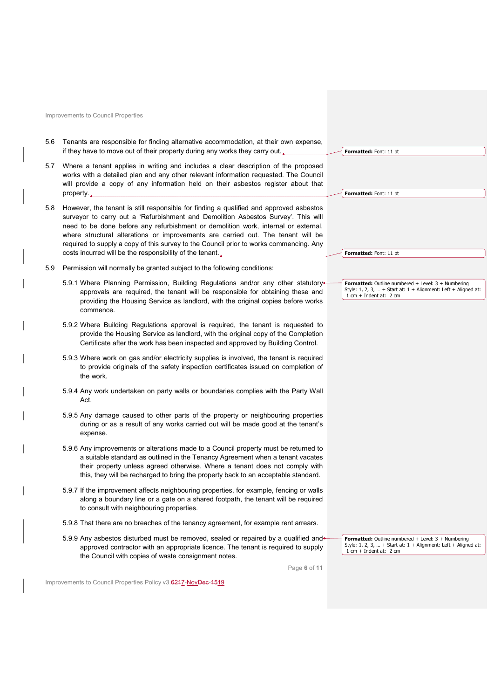| 5.6 | Tenants are responsible for finding alternative accommodation, at their own expense,<br>if they have to move out of their property during any works they carry out.                                                                                                                                                                                                                                                                                                                                         | Formatted: Font: 11 pt                                                                                                                                          |
|-----|-------------------------------------------------------------------------------------------------------------------------------------------------------------------------------------------------------------------------------------------------------------------------------------------------------------------------------------------------------------------------------------------------------------------------------------------------------------------------------------------------------------|-----------------------------------------------------------------------------------------------------------------------------------------------------------------|
| 5.7 | Where a tenant applies in writing and includes a clear description of the proposed<br>works with a detailed plan and any other relevant information requested. The Council<br>will provide a copy of any information held on their asbestos register about that<br>property.                                                                                                                                                                                                                                | <b>Formatted: Font: 11 pt</b>                                                                                                                                   |
| 5.8 | However, the tenant is still responsible for finding a qualified and approved asbestos<br>surveyor to carry out a 'Refurbishment and Demolition Asbestos Survey'. This will<br>need to be done before any refurbishment or demolition work, internal or external,<br>where structural alterations or improvements are carried out. The tenant will be<br>required to supply a copy of this survey to the Council prior to works commencing. Any<br>costs incurred will be the responsibility of the tenant. | <b>Formatted: Font: 11 pt</b>                                                                                                                                   |
|     |                                                                                                                                                                                                                                                                                                                                                                                                                                                                                                             |                                                                                                                                                                 |
| 5.9 | Permission will normally be granted subject to the following conditions:                                                                                                                                                                                                                                                                                                                                                                                                                                    |                                                                                                                                                                 |
|     | 5.9.1 Where Planning Permission, Building Regulations and/or any other statutory-<br>approvals are required, the tenant will be responsible for obtaining these and<br>providing the Housing Service as landlord, with the original copies before works<br>commence.                                                                                                                                                                                                                                        | Formatted: Outline numbered + Level: 3 + Numbering<br>Style: 1, 2, 3,  + Start at: $1 +$ Alignment: Left + Aligned at:<br>$1$ cm + Indent at: $2$ cm            |
|     | 5.9.2 Where Building Regulations approval is required, the tenant is requested to<br>provide the Housing Service as landlord, with the original copy of the Completion<br>Certificate after the work has been inspected and approved by Building Control.                                                                                                                                                                                                                                                   |                                                                                                                                                                 |
|     | 5.9.3 Where work on gas and/or electricity supplies is involved, the tenant is required<br>to provide originals of the safety inspection certificates issued on completion of<br>the work.                                                                                                                                                                                                                                                                                                                  |                                                                                                                                                                 |
|     | 5.9.4 Any work undertaken on party walls or boundaries complies with the Party Wall<br>Act.                                                                                                                                                                                                                                                                                                                                                                                                                 |                                                                                                                                                                 |
|     | 5.9.5 Any damage caused to other parts of the property or neighbouring properties<br>during or as a result of any works carried out will be made good at the tenant's<br>expense.                                                                                                                                                                                                                                                                                                                           |                                                                                                                                                                 |
|     | 5.9.6 Any improvements or alterations made to a Council property must be returned to<br>a suitable standard as outlined in the Tenancy Agreement when a tenant vacates<br>their property unless agreed otherwise. Where a tenant does not comply with<br>this, they will be recharged to bring the property back to an acceptable standard.                                                                                                                                                                 |                                                                                                                                                                 |
|     | 5.9.7 If the improvement affects neighbouring properties, for example, fencing or walls<br>along a boundary line or a gate on a shared footpath, the tenant will be required<br>to consult with neighbouring properties.                                                                                                                                                                                                                                                                                    |                                                                                                                                                                 |
|     | 5.9.8 That there are no breaches of the tenancy agreement, for example rent arrears.                                                                                                                                                                                                                                                                                                                                                                                                                        |                                                                                                                                                                 |
|     | 5.9.9 Any asbestos disturbed must be removed, sealed or repaired by a qualified and-<br>approved contractor with an appropriate licence. The tenant is required to supply<br>the Council with copies of waste consignment notes.                                                                                                                                                                                                                                                                            | <b>Formatted:</b> Outline numbered $+$ Level: $3 +$ Numbering<br>Style: 1, 2, 3,  + Start at: $1 +$ Alignment: Left + Aligned at:<br>$1$ cm + Indent at: $2$ cm |
|     | Page 6 of 11                                                                                                                                                                                                                                                                                                                                                                                                                                                                                                |                                                                                                                                                                 |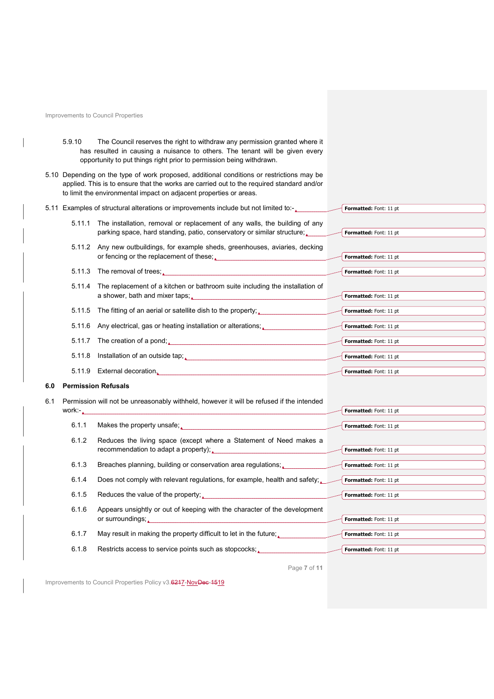$\overline{\phantom{a}}$ 

| 5.9.10 | The Council reserves the right to withdraw any permission granted where it   |  |
|--------|------------------------------------------------------------------------------|--|
|        | has resulted in causing a nuisance to others. The tenant will be given every |  |
|        | opportunity to put things right prior to permission being withdrawn.         |  |

5.10 Depending on the type of work proposed, additional conditions or restrictions may be applied. This is to ensure that the works are carried out to the required standard and/or to limit the environmental impact on adjacent properties or areas.

|     |        | 5.11 Examples of structural alterations or improvements include but not limited to:-                                                                                                                      | Formatted: Font: 11 pt |
|-----|--------|-----------------------------------------------------------------------------------------------------------------------------------------------------------------------------------------------------------|------------------------|
|     | 5.11.1 | The installation, removal or replacement of any walls, the building of any<br>parking space, hard standing, patio, conservatory or similar structure;                                                     | Formatted: Font: 11 pt |
|     |        | 5.11.2 Any new outbuildings, for example sheds, greenhouses, aviaries, decking<br>or fencing or the replacement of these;<br><u>Letter and the second of these</u> and the second of the second of these; | Formatted: Font: 11 pt |
|     |        | 5.11.3 The removal of trees;                                                                                                                                                                              | Formatted: Font: 11 pt |
|     |        |                                                                                                                                                                                                           |                        |
|     |        | 5.11.4 The replacement of a kitchen or bathroom suite including the installation of<br>a shower, bath and mixer taps; substantial control of the show of the state of the state of the state of the s     | Formatted: Font: 11 pt |
|     |        | 5.11.5 The fitting of an aerial or satellite dish to the property;                                                                                                                                        | Formatted: Font: 11 pt |
|     |        | 5.11.6 Any electrical, gas or heating installation or alterations;                                                                                                                                        | Formatted: Font: 11 pt |
|     |        |                                                                                                                                                                                                           |                        |
|     |        | 5.11.7 The creation of a pond;                                                                                                                                                                            | Formatted: Font: 11 pt |
|     |        | 5.11.8 Installation of an outside tap;<br>and the manufacture of the control of the control of the control of the control of the control of the control o                                                 | Formatted: Font: 11 pt |
|     |        | 5.11.9 External decoration.                                                                                                                                                                               | Formatted: Font: 11 pt |
|     |        |                                                                                                                                                                                                           |                        |
| 6.0 |        | <b>Permission Refusals</b>                                                                                                                                                                                |                        |
|     |        |                                                                                                                                                                                                           |                        |
| 6.1 |        | Permission will not be unreasonably withheld, however it will be refused if the intended                                                                                                                  | Formatted: Font: 11 pt |
|     |        | work:                                                                                                                                                                                                     |                        |
|     | 6.1.1  | Makes the property unsafe;                                                                                                                                                                                | Formatted: Font: 11 pt |
|     | 6.1.2  | Reduces the living space (except where a Statement of Need makes a                                                                                                                                        |                        |
|     |        | recommendation to adapt a property); value and the comment of the comment of the comment of the comment of the                                                                                            | Formatted: Font: 11 pt |
|     | 6.1.3  | Breaches planning, building or conservation area regulations;                                                                                                                                             | Formatted: Font: 11 pt |
|     | 6.1.4  | Does not comply with relevant regulations, for example, health and safety; $\sim$                                                                                                                         | Formatted: Font: 11 pt |
|     | 6.1.5  | Reduces the value of the property;                                                                                                                                                                        | Formatted: Font: 11 pt |
|     |        |                                                                                                                                                                                                           |                        |
|     | 6.1.6  | Appears unsightly or out of keeping with the character of the development<br>or surroundings;                                                                                                             | Formatted: Font: 11 pt |
|     | 6.1.7  | May result in making the property difficult to let in the future;                                                                                                                                         | Formatted: Font: 11 pt |
|     | 6.1.8  | Restricts access to service points such as stopcocks;                                                                                                                                                     | Formatted: Font: 11 pt |

Page 7 of 11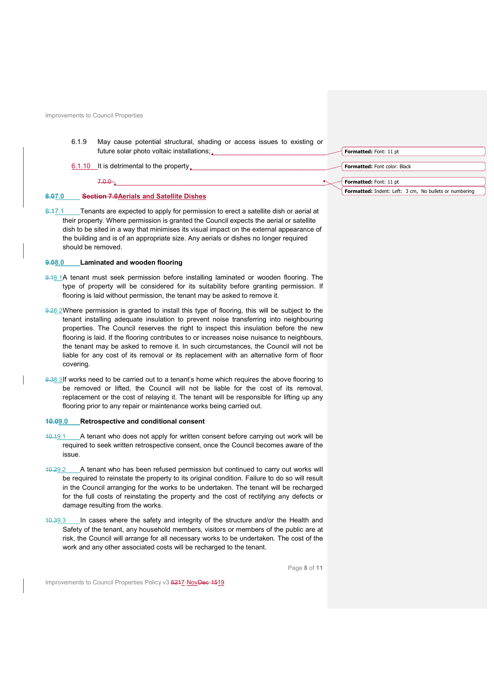|        | 6.1.9 | May cause potential structural, shading or access issues to existing or<br>future solar photo voltaic installations; | Formatted: Font: 11 pt                                 |
|--------|-------|----------------------------------------------------------------------------------------------------------------------|--------------------------------------------------------|
|        |       | 6.1.10 It is detrimental to the property.                                                                            | Formatted: Font color: Black                           |
|        |       | $7.0.0 -$                                                                                                            | Formatted: Font: 11 pt                                 |
| 8.07.0 |       | <b>Section 7.0 Aerials and Satellite Dishes</b>                                                                      | Formatted: Indent: Left: 3 cm, No bullets or numbering |

8.17.1 Tenants are expected to apply for permission to erect a satellite dish or aerial at their property. Where permission is granted the Council expects the aerial or satellite dish to be sited in a way that minimises its visual impact on the external appearance of the building and is of an appropriate size. Any aerials or dishes no longer required should be removed.

#### 9.08.0 Laminated and wooden flooring

- 9.18.1A tenant must seek permission before installing laminated or wooden flooring. The type of property will be considered for its suitability before granting permission. If flooring is laid without permission, the tenant may be asked to remove it.
- 9.28.2 Where permission is granted to install this type of flooring, this will be subject to the tenant installing adequate insulation to prevent noise transferring into neighbouring properties. The Council reserves the right to inspect this insulation before the new flooring is laid. If the flooring contributes to or increases noise nuisance to neighbours, the tenant may be asked to remove it. In such circumstances, the Council will not be liable for any cost of its removal or its replacement with an alternative form of floor covering.
- 9.38.3 If works need to be carried out to a tenant's home which requires the above flooring to be removed or lifted, the Council will not be liable for the cost of its removal, replacement or the cost of relaying it. The tenant will be responsible for lifting up any flooring prior to any repair or maintenance works being carried out.

### 10.09.0 Retrospective and conditional consent

- 10.19.1 A tenant who does not apply for written consent before carrying out work will be required to seek written retrospective consent, once the Council becomes aware of the issue.
- 10.29.2 A tenant who has been refused permission but continued to carry out works will be required to reinstate the property to its original condition. Failure to do so will result in the Council arranging for the works to be undertaken. The tenant will be recharged for the full costs of reinstating the property and the cost of rectifying any defects or damage resulting from the works.
- 10.39.3 In cases where the safety and integrity of the structure and/or the Health and Safety of the tenant, any household members, visitors or members of the public are at risk, the Council will arrange for all necessary works to be undertaken. The cost of the work and any other associated costs will be recharged to the tenant.

Page 8 of 11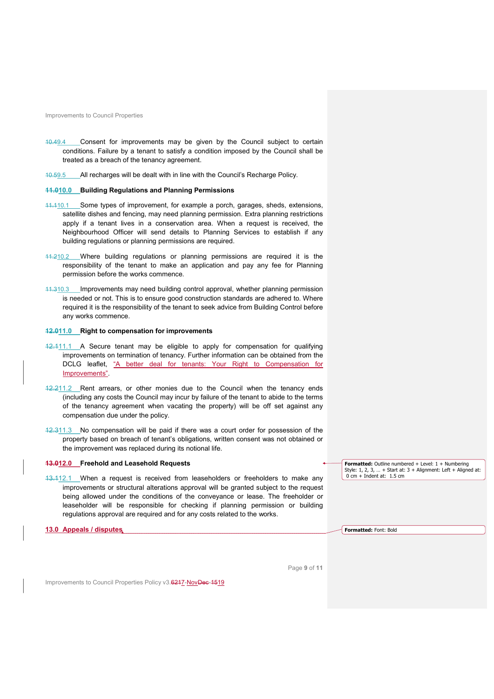- 10.49.4 Consent for improvements may be given by the Council subject to certain conditions. Failure by a tenant to satisfy a condition imposed by the Council shall be treated as a breach of the tenancy agreement.
- 10.59.5 All recharges will be dealt with in line with the Council's Recharge Policy.

#### 11.010.0 Building Regulations and Planning Permissions

- 11.110.1 Some types of improvement, for example a porch, garages, sheds, extensions, satellite dishes and fencing, may need planning permission. Extra planning restrictions apply if a tenant lives in a conservation area. When a request is received, the Neighbourhood Officer will send details to Planning Services to establish if any building regulations or planning permissions are required.
- 11.210.2 Where building regulations or planning permissions are required it is the responsibility of the tenant to make an application and pay any fee for Planning permission before the works commence.
- 11.310.3 Improvements may need building control approval, whether planning permission is needed or not. This is to ensure good construction standards are adhered to. Where required it is the responsibility of the tenant to seek advice from Building Control before any works commence.

## 12.011.0 Right to compensation for improvements

- 12.111.1 A Secure tenant may be eligible to apply for compensation for qualifying improvements on termination of tenancy. Further information can be obtained from the DCLG leaflet, "A better deal for tenants: Your Right to Compensation for Improvements".
- 12.211.2 Rent arrears, or other monies due to the Council when the tenancy ends (including any costs the Council may incur by failure of the tenant to abide to the terms of the tenancy agreement when vacating the property) will be off set against any compensation due under the policy.
- 12.311.3 No compensation will be paid if there was a court order for possession of the property based on breach of tenant's obligations, written consent was not obtained or the improvement was replaced during its notional life.

#### 13.012.0 Freehold and Leasehold Requests

13.112.1 When a request is received from leaseholders or freeholders to make any improvements or structural alterations approval will be granted subject to the request being allowed under the conditions of the conveyance or lease. The freeholder or leaseholder will be responsible for checking if planning permission or building regulations approval are required and for any costs related to the works.

### 13.0 Appeals / disputes

**Formatted:** Outline numbered  $+$  Level:  $1 +$  Numbering Style:  $1, 2, 3, ... +$  Start at:  $3 +$  Alignment: Left + Aligned at:  $0 \text{ cm} + \text{Indent at: } 1.5 \text{ cm}$ 

Formatted: Font: Bold

Page 9 of 11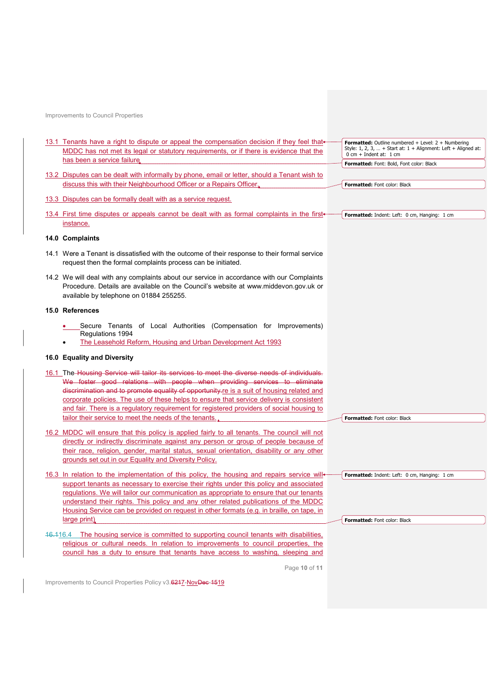| 13.1 Tenants have a right to dispute or appeal the compensation decision if they feel that<br>MDDC has not met its legal or statutory requirements, or if there is evidence that the                                        | Formatted: Outline numbered + Level: 2 + Numbering<br>Style: 1, 2, 3,  + Start at: $1 +$ Alignment: Left + Aligned at:<br>$0 \text{ cm} + \text{Indent at: } 1 \text{ cm}$ |
|-----------------------------------------------------------------------------------------------------------------------------------------------------------------------------------------------------------------------------|----------------------------------------------------------------------------------------------------------------------------------------------------------------------------|
| has been a service failure.                                                                                                                                                                                                 | Formatted: Font: Bold, Font color: Black                                                                                                                                   |
| 13.2 Disputes can be dealt with informally by phone, email or letter, should a Tenant wish to                                                                                                                               |                                                                                                                                                                            |
| discuss this with their Neighbourhood Officer or a Repairs Officer.                                                                                                                                                         | Formatted: Font color: Black                                                                                                                                               |
|                                                                                                                                                                                                                             |                                                                                                                                                                            |
| 13.3 Disputes can be formally dealt with as a service request.                                                                                                                                                              |                                                                                                                                                                            |
| 13.4 First time disputes or appeals cannot be dealt with as formal complaints in the first+                                                                                                                                 | Formatted: Indent: Left: 0 cm, Hanging: 1 cm                                                                                                                               |
| instance.                                                                                                                                                                                                                   |                                                                                                                                                                            |
| 14.0 Complaints                                                                                                                                                                                                             |                                                                                                                                                                            |
| 14.1 Were a Tenant is dissatisfied with the outcome of their response to their formal service<br>request then the formal complaints process can be initiated.                                                               |                                                                                                                                                                            |
| 14.2 We will deal with any complaints about our service in accordance with our Complaints<br>Procedure. Details are available on the Council's website at www.middevon.gov.uk or<br>available by telephone on 01884 255255. |                                                                                                                                                                            |
| 15.0 References                                                                                                                                                                                                             |                                                                                                                                                                            |
| Secure Tenants of Local Authorities (Compensation for Improvements)<br>Regulations 1994<br>The Leasehold Reform, Housing and Urban Development Act 1993                                                                     |                                                                                                                                                                            |
| 16.0 Equality and Diversity                                                                                                                                                                                                 |                                                                                                                                                                            |
|                                                                                                                                                                                                                             |                                                                                                                                                                            |
| The Housing Service will tailor its services to meet the diverse needs of individuals.<br>16.1                                                                                                                              |                                                                                                                                                                            |
| We foster good relations with people when providing services to eliminate                                                                                                                                                   |                                                                                                                                                                            |
| discrimination and to promote equality of opportunity re is a suit of housing related and                                                                                                                                   |                                                                                                                                                                            |
| corporate policies. The use of these helps to ensure that service delivery is consistent                                                                                                                                    |                                                                                                                                                                            |
| and fair. There is a regulatory requirement for registered providers of social housing to                                                                                                                                   |                                                                                                                                                                            |
| tailor their service to meet the needs of the tenants.                                                                                                                                                                      | <b>Formatted: Font color: Black</b>                                                                                                                                        |
| 16.2 MDDC will ensure that this policy is applied fairly to all tenants. The council will not                                                                                                                               |                                                                                                                                                                            |
| directly or indirectly discriminate against any person or group of people because of                                                                                                                                        |                                                                                                                                                                            |
| their race, religion, gender, marital status, sexual orientation, disability or any other                                                                                                                                   |                                                                                                                                                                            |
| grounds set out in our Equality and Diversity Policy.                                                                                                                                                                       |                                                                                                                                                                            |
| 16.3 In relation to the implementation of this policy, the housing and repairs service will+                                                                                                                                | Formatted: Indent: Left: 0 cm, Hanging: 1 cm                                                                                                                               |
| support tenants as necessary to exercise their rights under this policy and associated                                                                                                                                      |                                                                                                                                                                            |
| regulations. We will tailor our communication as appropriate to ensure that our tenants                                                                                                                                     |                                                                                                                                                                            |
| understand their rights. This policy and any other related publications of the MDDC                                                                                                                                         |                                                                                                                                                                            |
| Housing Service can be provided on request in other formats (e.g. in braille, on tape, in                                                                                                                                   |                                                                                                                                                                            |
| large print)                                                                                                                                                                                                                | Formatted: Font color: Black                                                                                                                                               |
|                                                                                                                                                                                                                             |                                                                                                                                                                            |
|                                                                                                                                                                                                                             |                                                                                                                                                                            |
| 46.416.4 The housing service is committed to supporting council tenants with disabilities,                                                                                                                                  |                                                                                                                                                                            |
| religious or cultural needs. In relation to improvements to council properties, the                                                                                                                                         |                                                                                                                                                                            |
| council has a duty to ensure that tenants have access to washing, sleeping and                                                                                                                                              |                                                                                                                                                                            |